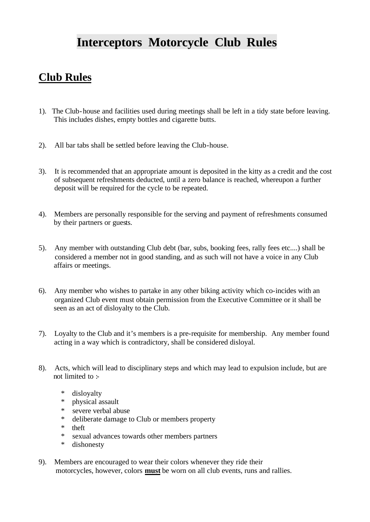## **Interceptors Motorcycle Club Rules**

## **Club Rules**

- 1). The Club-house and facilities used during meetings shall be left in a tidy state before leaving. This includes dishes, empty bottles and cigarette butts.
- 2). All bar tabs shall be settled before leaving the Club-house.
- 3). It is recommended that an appropriate amount is deposited in the kitty as a credit and the cost of subsequent refreshments deducted, until a zero balance is reached, whereupon a further deposit will be required for the cycle to be repeated.
- 4). Members are personally responsible for the serving and payment of refreshments consumed by their partners or guests.
- 5). Any member with outstanding Club debt (bar, subs, booking fees, rally fees etc....) shall be considered a member not in good standing, and as such will not have a voice in any Club affairs or meetings.
- 6). Any member who wishes to partake in any other biking activity which co-incides with an organized Club event must obtain permission from the Executive Committee or it shall be seen as an act of disloyalty to the Club.
- 7). Loyalty to the Club and it's members is a pre-requisite for membership. Any member found acting in a way which is contradictory, shall be considered disloyal.
- 8). Acts, which will lead to disciplinary steps and which may lead to expulsion include, but are not limited to :-
	- \* disloyalty
	- \* physical assault
	- severe verbal abuse
	- \* deliberate damage to Club or members property
	- the<sub>ft</sub>
	- \* sexual advances towards other members partners
	- \* dishonesty
- 9). Members are encouraged to wear their colors whenever they ride their motorcycles, however, colors **must** be worn on all club events, runs and rallies.